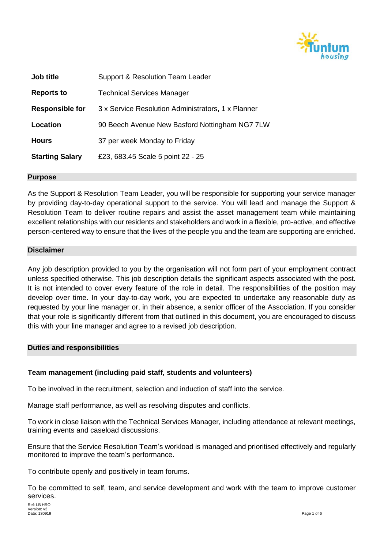

| Job title              | Support & Resolution Team Leader                   |  |  |
|------------------------|----------------------------------------------------|--|--|
| <b>Reports to</b>      | <b>Technical Services Manager</b>                  |  |  |
| <b>Responsible for</b> | 3 x Service Resolution Administrators, 1 x Planner |  |  |
| Location               | 90 Beech Avenue New Basford Nottingham NG7 7LW     |  |  |
| <b>Hours</b>           | 37 per week Monday to Friday                       |  |  |
| <b>Starting Salary</b> | £23, 683.45 Scale 5 point 22 - 25                  |  |  |

#### **Purpose**

As the Support & Resolution Team Leader, you will be responsible for supporting your service manager by providing day-to-day operational support to the service. You will lead and manage the Support & Resolution Team to deliver routine repairs and assist the asset management team while maintaining excellent relationships with our residents and stakeholders and work in a flexible, pro-active, and effective person-centered way to ensure that the lives of the people you and the team are supporting are enriched.

#### **Disclaimer**

Any job description provided to you by the organisation will not form part of your employment contract unless specified otherwise. This job description details the significant aspects associated with the post. It is not intended to cover every feature of the role in detail. The responsibilities of the position may develop over time. In your day-to-day work, you are expected to undertake any reasonable duty as requested by your line manager or, in their absence, a senior officer of the Association. If you consider that your role is significantly different from that outlined in this document, you are encouraged to discuss this with your line manager and agree to a revised job description.

## **Duties and responsibilities**

## **Team management (including paid staff, students and volunteers)**

To be involved in the recruitment, selection and induction of staff into the service.

Manage staff performance, as well as resolving disputes and conflicts.

To work in close liaison with the Technical Services Manager, including attendance at relevant meetings, training events and caseload discussions.

Ensure that the Service Resolution Team's workload is managed and prioritised effectively and regularly monitored to improve the team's performance.

To contribute openly and positively in team forums.

To be committed to self, team, and service development and work with the team to improve customer services.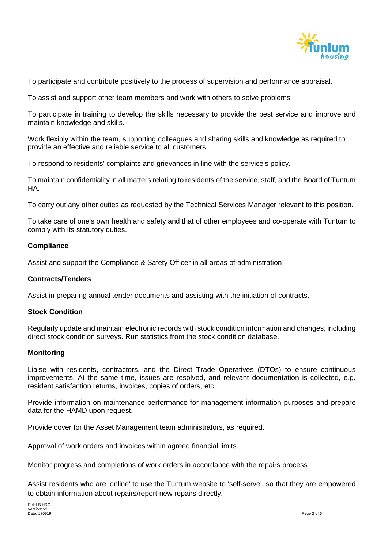

To participate and contribute positively to the process of supervision and performance appraisal.

To assist and support other team members and work with others to solve problems

To participate in training to develop the skills necessary to provide the best service and improve and maintain knowledge and skills.

Work flexibly within the team, supporting colleagues and sharing skills and knowledge as required to provide an effective and reliable service to all customers.

To respond to residents' complaints and grievances in line with the service's policy.

To maintain confidentiality in all matters relating to residents of the service, staff, and the Board of Tuntum HA.

To carry out any other duties as requested by the Technical Services Manager relevant to this position.

To take care of one's own health and safety and that of other employees and co-operate with Tuntum to comply with its statutory duties.

## **Compliance**

Assist and support the Compliance & Safety Officer in all areas of administration

## **Contracts/Tenders**

Assist in preparing annual tender documents and assisting with the initiation of contracts.

## **Stock Condition**

Regularly update and maintain electronic records with stock condition information and changes, including direct stock condition surveys. Run statistics from the stock condition database.

## **Monitoring**

Liaise with residents, contractors, and the Direct Trade Operatives (DTOs) to ensure continuous improvements. At the same time, issues are resolved, and relevant documentation is collected, e.g. resident satisfaction returns, invoices, copies of orders, etc.

Provide information on maintenance performance for management information purposes and prepare data for the HAMD upon request.

Provide cover for the Asset Management team administrators, as required.

Approval of work orders and invoices within agreed financial limits.

Monitor progress and completions of work orders in accordance with the repairs process

Assist residents who are 'online' to use the Tuntum website to 'self-serve', so that they are empowered to obtain information about repairs/report new repairs directly.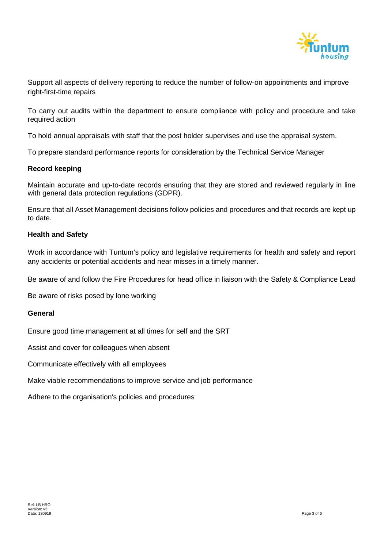

Support all aspects of delivery reporting to reduce the number of follow-on appointments and improve right-first-time repairs

To carry out audits within the department to ensure compliance with policy and procedure and take required action

To hold annual appraisals with staff that the post holder supervises and use the appraisal system.

To prepare standard performance reports for consideration by the Technical Service Manager

## **Record keeping**

Maintain accurate and up-to-date records ensuring that they are stored and reviewed regularly in line with general data protection regulations (GDPR).

Ensure that all Asset Management decisions follow policies and procedures and that records are kept up to date.

## **Health and Safety**

Work in accordance with Tuntum's policy and legislative requirements for health and safety and report any accidents or potential accidents and near misses in a timely manner.

Be aware of and follow the Fire Procedures for head office in liaison with the Safety & Compliance Lead

Be aware of risks posed by lone working

# **General**

Ensure good time management at all times for self and the SRT

Assist and cover for colleagues when absent

Communicate effectively with all employees

Make viable recommendations to improve service and job performance

Adhere to the organisation's policies and procedures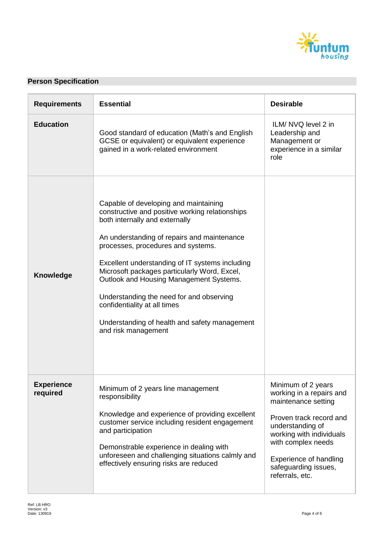

# **Person Specification**

| <b>Essential</b><br><b>Requirements</b> |                                                                                                                                                                                                                                                                                                                                                                                                                                                                                                                   | <b>Desirable</b>                                                                                                                                                                                                                            |  |  |
|-----------------------------------------|-------------------------------------------------------------------------------------------------------------------------------------------------------------------------------------------------------------------------------------------------------------------------------------------------------------------------------------------------------------------------------------------------------------------------------------------------------------------------------------------------------------------|---------------------------------------------------------------------------------------------------------------------------------------------------------------------------------------------------------------------------------------------|--|--|
| <b>Education</b>                        | Good standard of education (Math's and English<br>GCSE or equivalent) or equivalent experience<br>gained in a work-related environment                                                                                                                                                                                                                                                                                                                                                                            | ILM/ NVQ level 2 in<br>Leadership and<br>Management or<br>experience in a similar<br>role                                                                                                                                                   |  |  |
| Knowledge                               | Capable of developing and maintaining<br>constructive and positive working relationships<br>both internally and externally<br>An understanding of repairs and maintenance<br>processes, procedures and systems.<br>Excellent understanding of IT systems including<br>Microsoft packages particularly Word, Excel,<br>Outlook and Housing Management Systems.<br>Understanding the need for and observing<br>confidentiality at all times<br>Understanding of health and safety management<br>and risk management |                                                                                                                                                                                                                                             |  |  |
| <b>Experience</b><br>required           | Minimum of 2 years line management<br>responsibility<br>Knowledge and experience of providing excellent<br>customer service including resident engagement<br>and participation<br>Demonstrable experience in dealing with<br>unforeseen and challenging situations calmly and<br>effectively ensuring risks are reduced                                                                                                                                                                                           | Minimum of 2 years<br>working in a repairs and<br>maintenance setting<br>Proven track record and<br>understanding of<br>working with individuals<br>with complex needs<br>Experience of handling<br>safeguarding issues,<br>referrals, etc. |  |  |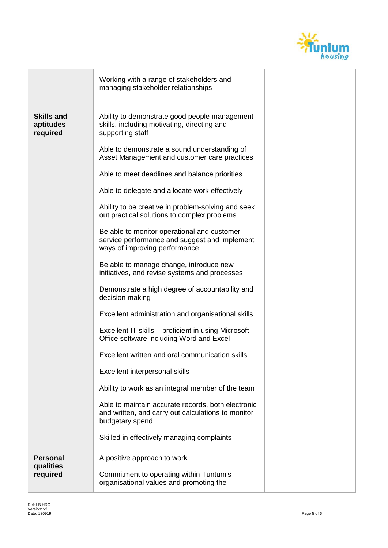

|                                            | Working with a range of stakeholders and<br>managing stakeholder relationships                                                |  |
|--------------------------------------------|-------------------------------------------------------------------------------------------------------------------------------|--|
| <b>Skills and</b><br>aptitudes<br>required | Ability to demonstrate good people management<br>skills, including motivating, directing and<br>supporting staff              |  |
|                                            | Able to demonstrate a sound understanding of<br>Asset Management and customer care practices                                  |  |
|                                            | Able to meet deadlines and balance priorities                                                                                 |  |
|                                            | Able to delegate and allocate work effectively                                                                                |  |
|                                            | Ability to be creative in problem-solving and seek<br>out practical solutions to complex problems                             |  |
|                                            | Be able to monitor operational and customer<br>service performance and suggest and implement<br>ways of improving performance |  |
|                                            | Be able to manage change, introduce new<br>initiatives, and revise systems and processes                                      |  |
|                                            | Demonstrate a high degree of accountability and<br>decision making                                                            |  |
|                                            | Excellent administration and organisational skills                                                                            |  |
|                                            | Excellent IT skills - proficient in using Microsoft<br>Office software including Word and Excel                               |  |
|                                            | Excellent written and oral communication skills                                                                               |  |
|                                            | Excellent interpersonal skills                                                                                                |  |
|                                            | Ability to work as an integral member of the team                                                                             |  |
|                                            | Able to maintain accurate records, both electronic<br>and written, and carry out calculations to monitor<br>budgetary spend   |  |
|                                            | Skilled in effectively managing complaints                                                                                    |  |
| <b>Personal</b>                            | A positive approach to work                                                                                                   |  |
| qualities<br>required                      | Commitment to operating within Tuntum's<br>organisational values and promoting the                                            |  |